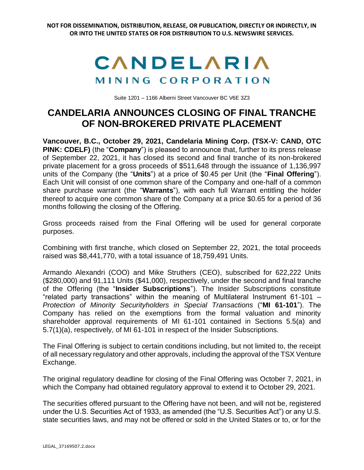## CANDELARIA MINING CORPORATION

Suite 1201 – 1166 Alberni Street Vancouver BC V6E 3Z3

## **CANDELARIA ANNOUNCES CLOSING OF FINAL TRANCHE OF NON-BROKERED PRIVATE PLACEMENT**

**Vancouver, B.C., October 29, 2021, Candelaria Mining Corp. (TSX-V: CAND, OTC PINK: CDELF)** (the "**Company**") is pleased to announce that, further to its press release of September 22, 2021, it has closed its second and final tranche of its non-brokered private placement for a gross proceeds of \$511,648 through the issuance of 1,136,997 units of the Company (the "**Units**") at a price of \$0.45 per Unit (the "**Final Offering**"). Each Unit will consist of one common share of the Company and one-half of a common share purchase warrant (the "**Warrants**"), with each full Warrant entitling the holder thereof to acquire one common share of the Company at a price \$0.65 for a period of 36 months following the closing of the Offering.

Gross proceeds raised from the Final Offering will be used for general corporate purposes.

Combining with first tranche, which closed on September 22, 2021, the total proceeds raised was \$8,441,770, with a total issuance of 18,759,491 Units.

Armando Alexandri (COO) and Mike Struthers (CEO), subscribed for 622,222 Units (\$280,000) and 91,111 Units (\$41,000), respectively, under the second and final tranche of the Offering (the "**Insider Subscriptions**"). The Insider Subscriptions constitute "related party transactions" within the meaning of Multilateral Instrument 61-101 – *Protection of Minority Securityholders in Special Transactions* ("**MI 61-101**"). The Company has relied on the exemptions from the formal valuation and minority shareholder approval requirements of MI 61-101 contained in Sections 5.5(a) and 5.7(1)(a), respectively, of MI 61-101 in respect of the Insider Subscriptions.

The Final Offering is subject to certain conditions including, but not limited to, the receipt of all necessary regulatory and other approvals, including the approval of the TSX Venture Exchange.

The original regulatory deadline for closing of the Final Offering was October 7, 2021, in which the Company had obtained regulatory approval to extend it to October 29, 2021.

The securities offered pursuant to the Offering have not been, and will not be, registered under the U.S. Securities Act of 1933, as amended (the "U.S. Securities Act") or any U.S. state securities laws, and may not be offered or sold in the United States or to, or for the